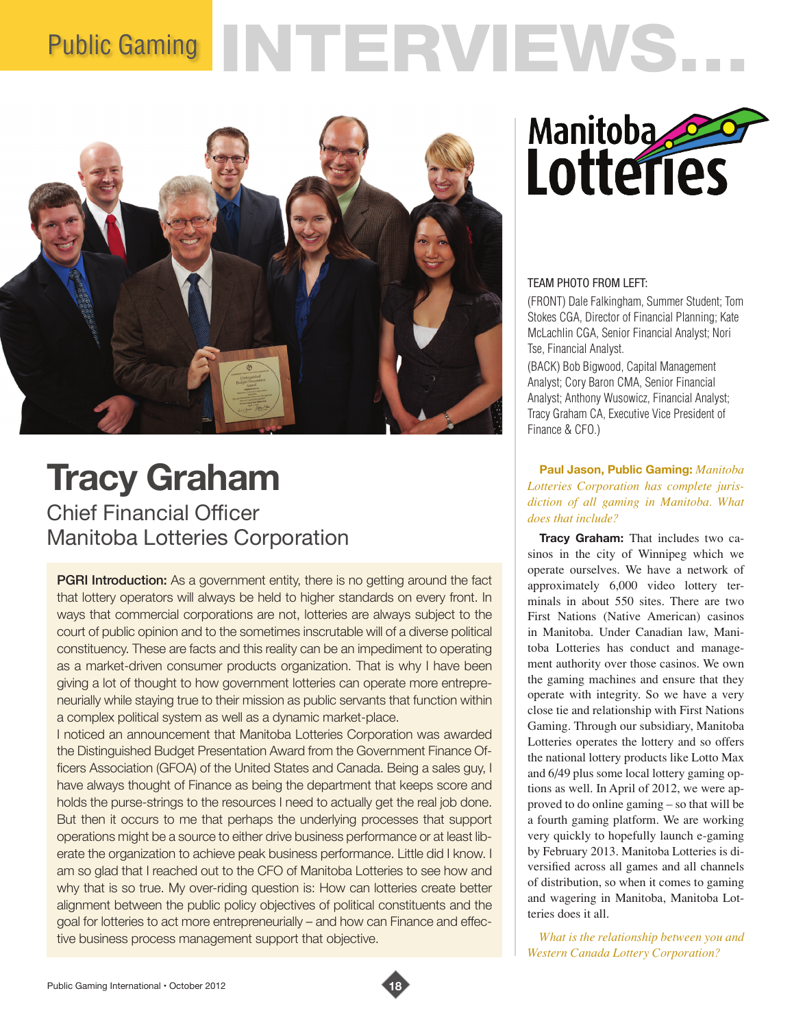# Public Gaming INTERVIEWS...



# **Tracy Graham** Chief Financial Officer

Manitoba Lotteries Corporation

**PGRI Introduction:** As a government entity, there is no getting around the fact that lottery operators will always be held to higher standards on every front. In ways that commercial corporations are not, lotteries are always subject to the court of public opinion and to the sometimes inscrutable will of a diverse political constituency. These are facts and this reality can be an impediment to operating as a market-driven consumer products organization. That is why I have been giving a lot of thought to how government lotteries can operate more entrepreneurially while staying true to their mission as public servants that function within a complex political system as well as a dynamic market-place.

I noticed an announcement that Manitoba Lotteries Corporation was awarded the Distinguished Budget Presentation Award from the Government Finance Officers Association (GFOA) of the United States and Canada. Being a sales guy, I have always thought of Finance as being the department that keeps score and holds the purse-strings to the resources I need to actually get the real job done. But then it occurs to me that perhaps the underlying processes that support operations might be a source to either drive business performance or at least liberate the organization to achieve peak business performance. Little did I know. I am so glad that I reached out to the CFO of Manitoba Lotteries to see how and why that is so true. My over-riding question is: How can lotteries create better alignment between the public policy objectives of political constituents and the goal for lotteries to act more entrepreneurially – and how can Finance and effective business process management support that objective.



# TEAM PHOTO FROM LEFT:

(FRONT) Dale Falkingham, Summer Student; Tom Stokes CGA, Director of Financial Planning; Kate McLachlin CGA, Senior Financial Analyst; Nori Tse, Financial Analyst.

(BACK) Bob Bigwood, Capital Management Analyst; Cory Baron CMA, Senior Financial Analyst; Anthony Wusowicz, Financial Analyst; Tracy Graham CA, Executive Vice President of Finance & CFO.)

# **Paul Jason, Public Gaming:** *Manitoba Lotteries Corporation has complete jurisdiction of all gaming in Manitoba. What does that include?*

**Tracy Graham:** That includes two casinos in the city of Winnipeg which we operate ourselves. We have a network of approximately 6,000 video lottery terminals in about 550 sites. There are two First Nations (Native American) casinos in Manitoba. Under Canadian law, Manitoba Lotteries has conduct and management authority over those casinos. We own the gaming machines and ensure that they operate with integrity. So we have a very close tie and relationship with First Nations Gaming. Through our subsidiary, Manitoba Lotteries operates the lottery and so offers the national lottery products like Lotto Max and 6/49 plus some local lottery gaming options as well. In April of 2012, we were approved to do online gaming – so that will be a fourth gaming platform. We are working very quickly to hopefully launch e-gaming by February 2013. Manitoba Lotteries is diversified across all games and all channels of distribution, so when it comes to gaming and wagering in Manitoba, Manitoba Lotteries does it all.

*What is the relationship between you and Western Canada Lottery Corporation?*

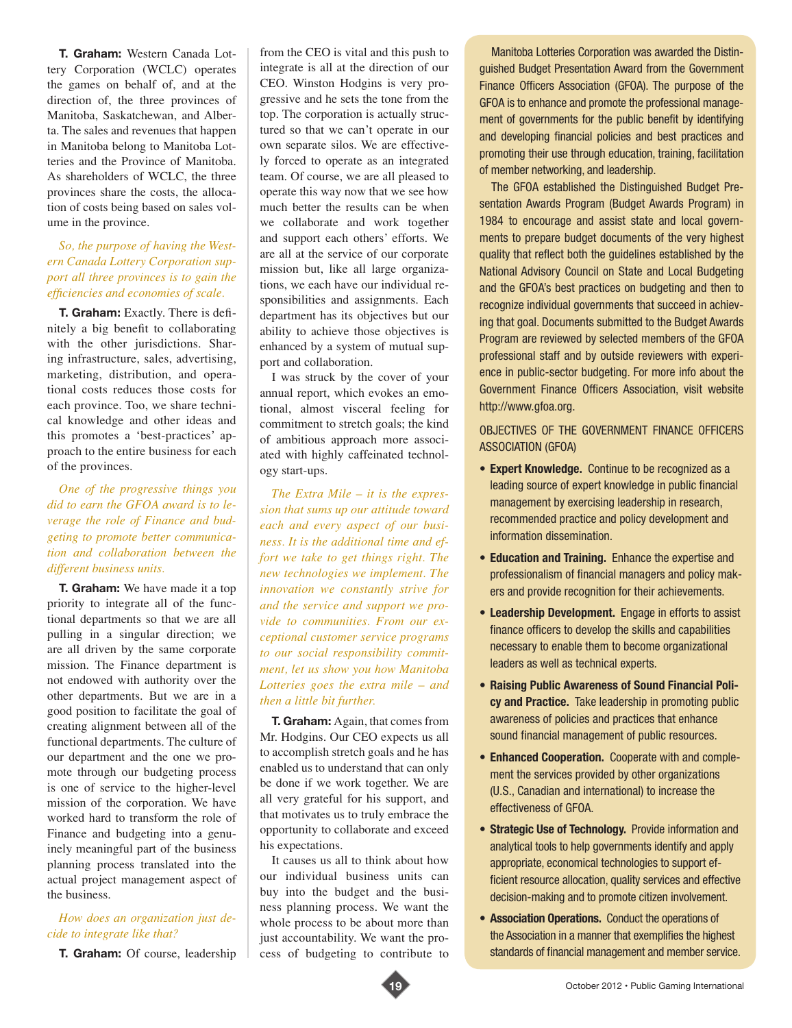**T. Graham:** Western Canada Lottery Corporation (WCLC) operates the games on behalf of, and at the direction of, the three provinces of Manitoba, Saskatchewan, and Alberta. The sales and revenues that happen in Manitoba belong to Manitoba Lotteries and the Province of Manitoba. As shareholders of WCLC, the three provinces share the costs, the allocation of costs being based on sales volume in the province.

#### *So, the purpose of having the Western Canada Lottery Corporation support all three provinces is to gain the efficiencies and economies of scale.*

**T. Graham:** Exactly. There is definitely a big benefit to collaborating with the other jurisdictions. Sharing infrastructure, sales, advertising, marketing, distribution, and operational costs reduces those costs for each province. Too, we share technical knowledge and other ideas and this promotes a 'best-practices' approach to the entire business for each of the provinces.

# *One of the progressive things you did to earn the GFOA award is to leverage the role of Finance and budgeting to promote better communication and collaboration between the different business units.*

**T. Graham:** We have made it a top priority to integrate all of the functional departments so that we are all pulling in a singular direction; we are all driven by the same corporate mission. The Finance department is not endowed with authority over the other departments. But we are in a good position to facilitate the goal of creating alignment between all of the functional departments. The culture of our department and the one we promote through our budgeting process is one of service to the higher-level mission of the corporation. We have worked hard to transform the role of Finance and budgeting into a genuinely meaningful part of the business planning process translated into the actual project management aspect of the business.

#### *How does an organization just decide to integrate like that?*

**T. Graham:** Of course, leadership

from the CEO is vital and this push to integrate is all at the direction of our CEO. Winston Hodgins is very progressive and he sets the tone from the top. The corporation is actually structured so that we can't operate in our own separate silos. We are effectively forced to operate as an integrated team. Of course, we are all pleased to operate this way now that we see how much better the results can be when we collaborate and work together and support each others' efforts. We are all at the service of our corporate mission but, like all large organizations, we each have our individual responsibilities and assignments. Each department has its objectives but our ability to achieve those objectives is enhanced by a system of mutual support and collaboration.

I was struck by the cover of your annual report, which evokes an emotional, almost visceral feeling for commitment to stretch goals; the kind of ambitious approach more associated with highly caffeinated technology start-ups.

*The Extra Mile – it is the expression that sums up our attitude toward each and every aspect of our business. It is the additional time and effort we take to get things right. The new technologies we implement. The innovation we constantly strive for and the service and support we provide to communities. From our exceptional customer service programs to our social responsibility commitment, let us show you how Manitoba Lotteries goes the extra mile – and then a little bit further.*

**T. Graham:** Again, that comes from Mr. Hodgins. Our CEO expects us all to accomplish stretch goals and he has enabled us to understand that can only be done if we work together. We are all very grateful for his support, and that motivates us to truly embrace the opportunity to collaborate and exceed his expectations.

It causes us all to think about how our individual business units can buy into the budget and the business planning process. We want the whole process to be about more than just accountability. We want the process of budgeting to contribute to

Manitoba Lotteries Corporation was awarded the Distinguished Budget Presentation Award from the Government Finance Officers Association (GFOA). The purpose of the GFOA is to enhance and promote the professional management of governments for the public benefit by identifying and developing financial policies and best practices and promoting their use through education, training, facilitation of member networking, and leadership.

The GFOA established the Distinguished Budget Presentation Awards Program (Budget Awards Program) in 1984 to encourage and assist state and local governments to prepare budget documents of the very highest quality that reflect both the guidelines established by the National Advisory Council on State and Local Budgeting and the GFOA's best practices on budgeting and then to recognize individual governments that succeed in achieving that goal. Documents submitted to the Budget Awards Program are reviewed by selected members of the GFOA professional staff and by outside reviewers with experience in public-sector budgeting. For more info about the Government Finance Officers Association, visit website http://www.gfoa.org.

### OBJECTIVES OF THE GOVERNMENT FINANCE OFFICERS ASSOCIATION (GFOA)

- **Expert Knowledge.** Continue to be recognized as a leading source of expert knowledge in public financial management by exercising leadership in research, recommended practice and policy development and information dissemination.
- **Education and Training.** Enhance the expertise and professionalism of financial managers and policy makers and provide recognition for their achievements.
- **Leadership Development.** Engage in efforts to assist finance officers to develop the skills and capabilities necessary to enable them to become organizational leaders as well as technical experts.
- **Raising Public Awareness of Sound Financial Policy and Practice.** Take leadership in promoting public awareness of policies and practices that enhance sound financial management of public resources.
- **Enhanced Cooperation.** Cooperate with and complement the services provided by other organizations (U.S., Canadian and international) to increase the effectiveness of GFOA.
- **Strategic Use of Technology.** Provide information and analytical tools to help governments identify and apply appropriate, economical technologies to support efficient resource allocation, quality services and effective decision-making and to promote citizen involvement.
- **Association Operations.** Conduct the operations of the Association in a manner that exemplifies the highest standards of financial management and member service.

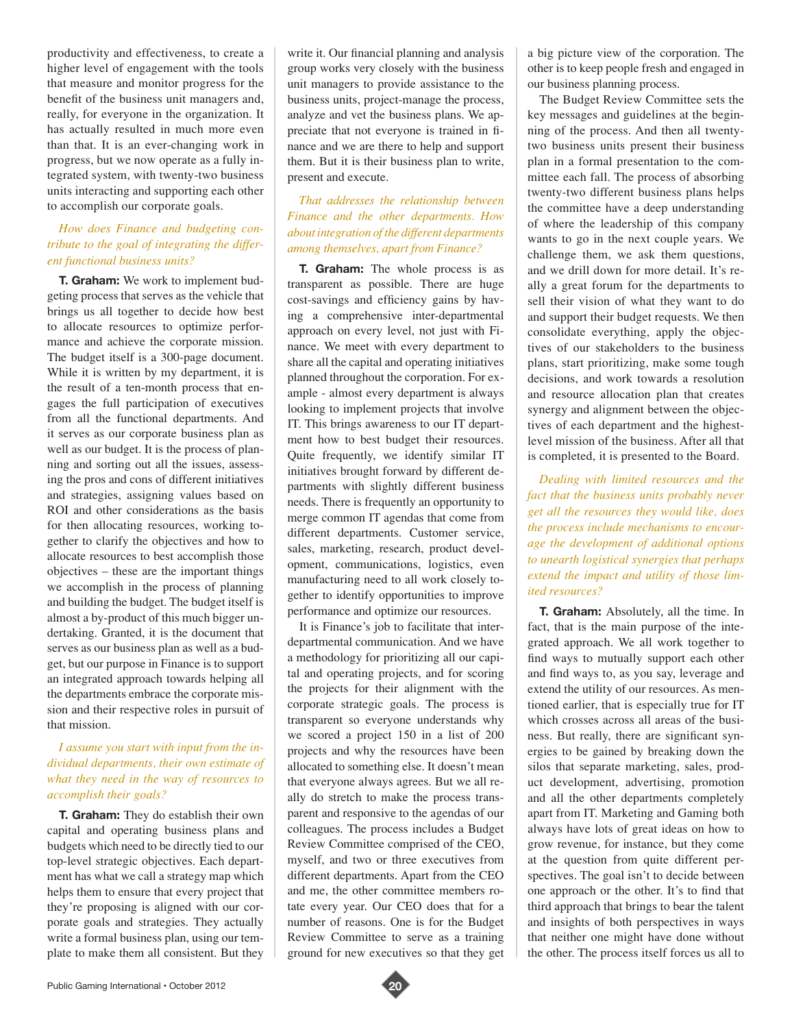productivity and effectiveness, to create a higher level of engagement with the tools that measure and monitor progress for the benefit of the business unit managers and, really, for everyone in the organization. It has actually resulted in much more even than that. It is an ever-changing work in progress, but we now operate as a fully integrated system, with twenty-two business units interacting and supporting each other to accomplish our corporate goals.

# *How does Finance and budgeting contribute to the goal of integrating the different functional business units?*

**T. Graham:** We work to implement budgeting process that serves as the vehicle that brings us all together to decide how best to allocate resources to optimize performance and achieve the corporate mission. The budget itself is a 300-page document. While it is written by my department, it is the result of a ten-month process that engages the full participation of executives from all the functional departments. And it serves as our corporate business plan as well as our budget. It is the process of planning and sorting out all the issues, assessing the pros and cons of different initiatives and strategies, assigning values based on ROI and other considerations as the basis for then allocating resources, working together to clarify the objectives and how to allocate resources to best accomplish those objectives – these are the important things we accomplish in the process of planning and building the budget. The budget itself is almost a by-product of this much bigger undertaking. Granted, it is the document that serves as our business plan as well as a budget, but our purpose in Finance is to support an integrated approach towards helping all the departments embrace the corporate mission and their respective roles in pursuit of that mission.

#### *I assume you start with input from the individual departments, their own estimate of what they need in the way of resources to accomplish their goals?*

**T. Graham:** They do establish their own capital and operating business plans and budgets which need to be directly tied to our top-level strategic objectives. Each department has what we call a strategy map which helps them to ensure that every project that they're proposing is aligned with our corporate goals and strategies. They actually write a formal business plan, using our template to make them all consistent. But they write it. Our financial planning and analysis group works very closely with the business unit managers to provide assistance to the business units, project-manage the process, analyze and vet the business plans. We appreciate that not everyone is trained in finance and we are there to help and support them. But it is their business plan to write, present and execute.

#### *That addresses the relationship between Finance and the other departments. How about integration of the different departments among themselves, apart from Finance?*

**T. Graham:** The whole process is as transparent as possible. There are huge cost-savings and efficiency gains by having a comprehensive inter-departmental approach on every level, not just with Finance. We meet with every department to share all the capital and operating initiatives planned throughout the corporation. For example - almost every department is always looking to implement projects that involve IT. This brings awareness to our IT department how to best budget their resources. Quite frequently, we identify similar IT initiatives brought forward by different departments with slightly different business needs. There is frequently an opportunity to merge common IT agendas that come from different departments. Customer service, sales, marketing, research, product development, communications, logistics, even manufacturing need to all work closely together to identify opportunities to improve performance and optimize our resources.

It is Finance's job to facilitate that interdepartmental communication. And we have a methodology for prioritizing all our capital and operating projects, and for scoring the projects for their alignment with the corporate strategic goals. The process is transparent so everyone understands why we scored a project 150 in a list of 200 projects and why the resources have been allocated to something else. It doesn't mean that everyone always agrees. But we all really do stretch to make the process transparent and responsive to the agendas of our colleagues. The process includes a Budget Review Committee comprised of the CEO, myself, and two or three executives from different departments. Apart from the CEO and me, the other committee members rotate every year. Our CEO does that for a number of reasons. One is for the Budget Review Committee to serve as a training ground for new executives so that they get a big picture view of the corporation. The other is to keep people fresh and engaged in our business planning process.

The Budget Review Committee sets the key messages and guidelines at the beginning of the process. And then all twentytwo business units present their business plan in a formal presentation to the committee each fall. The process of absorbing twenty-two different business plans helps the committee have a deep understanding of where the leadership of this company wants to go in the next couple years. We challenge them, we ask them questions, and we drill down for more detail. It's really a great forum for the departments to sell their vision of what they want to do and support their budget requests. We then consolidate everything, apply the objectives of our stakeholders to the business plans, start prioritizing, make some tough decisions, and work towards a resolution and resource allocation plan that creates synergy and alignment between the objectives of each department and the highestlevel mission of the business. After all that is completed, it is presented to the Board.

*Dealing with limited resources and the fact that the business units probably never get all the resources they would like, does the process include mechanisms to encourage the development of additional options to unearth logistical synergies that perhaps extend the impact and utility of those limited resources?* 

**T. Graham:** Absolutely, all the time. In fact, that is the main purpose of the integrated approach. We all work together to find ways to mutually support each other and find ways to, as you say, leverage and extend the utility of our resources. As mentioned earlier, that is especially true for IT which crosses across all areas of the business. But really, there are significant synergies to be gained by breaking down the silos that separate marketing, sales, product development, advertising, promotion and all the other departments completely apart from IT. Marketing and Gaming both always have lots of great ideas on how to grow revenue, for instance, but they come at the question from quite different perspectives. The goal isn't to decide between one approach or the other. It's to find that third approach that brings to bear the talent and insights of both perspectives in ways that neither one might have done without the other. The process itself forces us all to